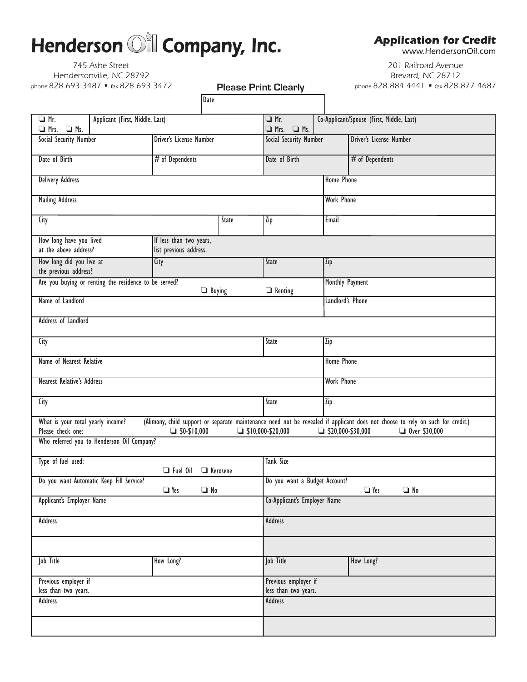# Henderson **Oil** Company, Inc.

745 Ashe Street Hendersonville, NC 28792 phone 828.693.3487 • fax 828.693.3472

#### **Please Print Clearly**

Date

**Application for Credit** 

www.HendersonOil.com

201 Railroad Avenue Brevard, NC 28712 phone 828.884.4441 = fax 828.877.4687

| $\Box$ Mr.<br>$\Box$ Mrs. $\Box$ Ms.                                                                                                                                                                                                        | Applicant (First, Middle, Last) |                         |       | $\Box$ Mr.<br>$\Box$ Mrs. $\Box$ Ms.                     |                          | Co-Applicant/Spouse (First, Middle, Last) |  |
|---------------------------------------------------------------------------------------------------------------------------------------------------------------------------------------------------------------------------------------------|---------------------------------|-------------------------|-------|----------------------------------------------------------|--------------------------|-------------------------------------------|--|
| Social Security Number                                                                                                                                                                                                                      |                                 | Driver's License Number |       | Social Security Number                                   |                          | <b>Driver's License Number</b>            |  |
| Date of Birth                                                                                                                                                                                                                               |                                 | # of Dependents         |       | Date of Birth                                            |                          | # of Dependents                           |  |
| <b>Delivery Address</b>                                                                                                                                                                                                                     |                                 |                         |       |                                                          | <b>Home Phone</b>        |                                           |  |
| <b>Mailing Address</b>                                                                                                                                                                                                                      |                                 |                         |       |                                                          | <b>Work Phone</b>        |                                           |  |
| City                                                                                                                                                                                                                                        |                                 | State                   |       | Zip                                                      | Email                    |                                           |  |
| How long have you lived<br>If less than two years,<br>at the above address?<br>list previous address.                                                                                                                                       |                                 |                         |       |                                                          |                          |                                           |  |
| How long did you live at<br>the previous address?                                                                                                                                                                                           |                                 | City                    |       | State                                                    | Zip                      |                                           |  |
| Are you buying or renting the residence to be served?<br>$\Box$ Buying                                                                                                                                                                      |                                 |                         |       | $\Box$ Renting                                           |                          | Monthly Payment                           |  |
| Name of Landlord                                                                                                                                                                                                                            |                                 |                         |       |                                                          |                          | Landlord's Phone                          |  |
| Address of Landlord                                                                                                                                                                                                                         |                                 |                         |       |                                                          |                          |                                           |  |
| City                                                                                                                                                                                                                                        |                                 |                         | State | Zip                                                      |                          |                                           |  |
| Name of Nearest Relative                                                                                                                                                                                                                    |                                 |                         |       |                                                          | <b>Home Phone</b>        |                                           |  |
| <b>Nearest Relative's Address</b>                                                                                                                                                                                                           |                                 |                         |       |                                                          | <b>Work Phone</b>        |                                           |  |
| City                                                                                                                                                                                                                                        |                                 |                         |       | State                                                    | Zip                      |                                           |  |
| What is your total yearly income?<br>(Alimony, child support or separate maintenance need not be revealed if applicant does not choose to rely on such for credit.)<br>Please check one:<br>$\Box$ \$0-\$10,000<br>$\Box$ \$10,000-\$20,000 |                                 |                         |       |                                                          | $\Box$ \$20,000-\$30,000 | $\Box$ Over \$30,000                      |  |
| Who referred you to Henderson Oil Company?                                                                                                                                                                                                  |                                 |                         |       |                                                          |                          |                                           |  |
| Type of fuel used:<br>$\Box$ Fuel Oil<br><b>E</b> Kerosene                                                                                                                                                                                  |                                 |                         |       | <b>Tank Size</b>                                         |                          |                                           |  |
| Do you want Automatic Keep Fill Service?<br>$\Box$ Yes<br>$\Box$ No                                                                                                                                                                         |                                 |                         |       | Do you want a Budget Account?<br>$\Box$ Yes<br>$\Box$ No |                          |                                           |  |
| Applicant's Employer Name                                                                                                                                                                                                                   |                                 |                         |       | Co-Applicant's Employer Name                             |                          |                                           |  |
| <b>Address</b>                                                                                                                                                                                                                              |                                 |                         |       | <b>Address</b>                                           |                          |                                           |  |
|                                                                                                                                                                                                                                             |                                 |                         |       |                                                          |                          |                                           |  |
| Job Title                                                                                                                                                                                                                                   |                                 | How Long?               |       | Job Title                                                |                          | How Long?                                 |  |
| Previous employer if<br>less than two years.                                                                                                                                                                                                |                                 |                         |       | Previous employer if<br>less than two years.             |                          |                                           |  |
| <b>Address</b>                                                                                                                                                                                                                              |                                 |                         |       | <b>Address</b>                                           |                          |                                           |  |
|                                                                                                                                                                                                                                             |                                 |                         |       |                                                          |                          |                                           |  |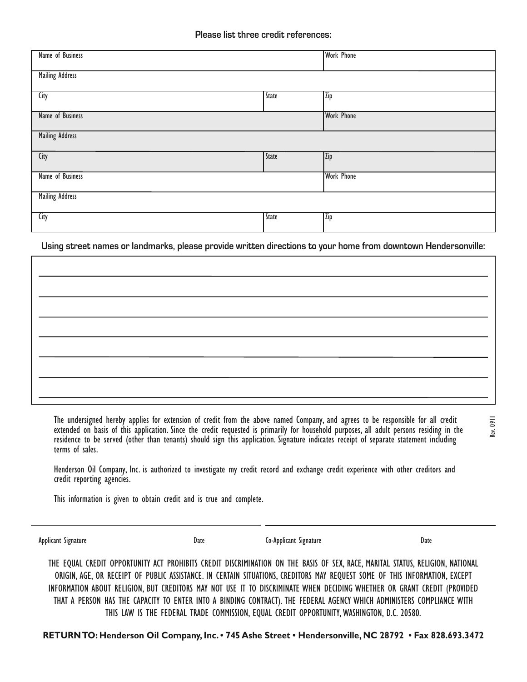| Name of Business       |                   |  |  |  |  |  |  |
|------------------------|-------------------|--|--|--|--|--|--|
|                        |                   |  |  |  |  |  |  |
| <b>Mailing Address</b> |                   |  |  |  |  |  |  |
|                        |                   |  |  |  |  |  |  |
| <b>State</b>           | Zip               |  |  |  |  |  |  |
|                        |                   |  |  |  |  |  |  |
|                        | <b>Work Phone</b> |  |  |  |  |  |  |
|                        |                   |  |  |  |  |  |  |
| <b>Mailing Address</b> |                   |  |  |  |  |  |  |
|                        |                   |  |  |  |  |  |  |
| <b>State</b>           | Zip               |  |  |  |  |  |  |
|                        |                   |  |  |  |  |  |  |
|                        | <b>Work Phone</b> |  |  |  |  |  |  |
|                        |                   |  |  |  |  |  |  |
| <b>Mailing Address</b> |                   |  |  |  |  |  |  |
|                        |                   |  |  |  |  |  |  |
| <b>State</b>           | Zip               |  |  |  |  |  |  |
|                        |                   |  |  |  |  |  |  |
|                        | <b>Work Phone</b> |  |  |  |  |  |  |

**Using street names or landmarks, please provide written directions to your home from downtown Hendersonville:**

The undersigned hereby applies for extension of credit from the above named Company, and agrees to be responsible for all credit extended on basis of this application. Since the credit requested is primarily for household purposes, all adult persons residing in the residence to be served (other than tenants) should sign this application. Signature indicates receipt of separate statement including terms of sales.

Henderson Oil Company, Inc. is authorized to investigate my credit record and exchange credit experience with other creditors and credit reporting agencies.

This information is given to obtain credit and is true and complete.

Applicant Signature Date Co-Applicant Signature Date

Rev. 0911

THE EQUAL CREDIT OPPORTUNITY ACT PROHIBITS CREDIT DISCRIMINATION ON THE BASIS OF SEX, RACE, MARITAL STATUS, RELIGION, NATIONAL ORIGIN, AGE, OR RECEIPT OF PUBLIC ASSISTANCE. IN CERTAIN SITUATIONS, CREDITORS MAY REQUEST SOME OF THIS INFORMATION, EXCEPT INFORMATION ABOUT RELIGION, BUT CREDITORS MAY NOT USE IT TO DISCRIMINATE WHEN DECIDING WHETHER OR GRANT CREDIT (PROVIDED THAT A PERSON HAS THE CAPACITY TO ENTER INTO A BINDING CONTRACT). THE FEDERAL AGENCY WHICH ADMINISTERS COMPLIANCE WITH THIS LAW IS THE FEDERAL TRADE COMMISSION, EQUAL CREDIT OPPORTUNITY, WASHINGTON, D.C. 20580.

**RETURN TO: Henderson Oil Company, Inc. • 745 Ashe Street • Hendersonville, NC 28792 • Fax 828.693.3472**